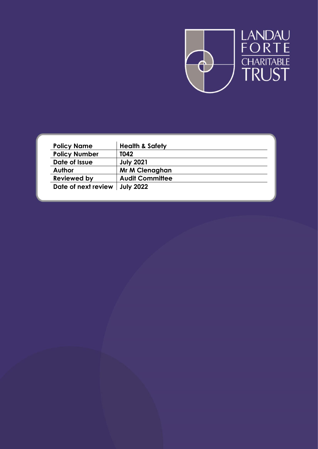

| <b>Policy Name</b>              | <b>Health &amp; Safety</b> |
|---------------------------------|----------------------------|
| <b>Policy Number</b>            | T042                       |
| Date of Issue                   | <b>July 2021</b>           |
| <b>Author</b>                   | Mr M Clenaghan             |
| <b>Reviewed by</b>              | <b>Audit Committee</b>     |
| Date of next review   July 2022 |                            |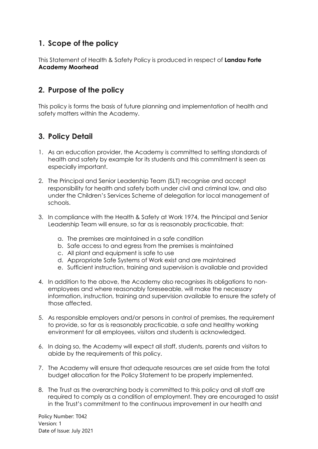# **1. Scope of the policy**

This Statement of Health & Safety Policy is produced in respect of **Landau Forte Academy Moorhead** 

# **2. Purpose of the policy**

This policy is forms the basis of future planning and implementation of health and safety matters within the Academy.

# **3. Policy Detail**

- 1. As an education provider, the Academy is committed to setting standards of health and safety by example for its students and this commitment is seen as especially important.
- 2. The Principal and Senior Leadership Team (SLT) recognise and accept responsibility for health and safety both under civil and criminal law, and also under the Children's Services Scheme of delegation for local management of schools.
- 3. In compliance with the Health & Safety at Work 1974, the Principal and Senior Leadership Team will ensure, so far as is reasonably practicable, that:
	- a. The premises are maintained in a safe condition
	- b. Safe access to and egress from the premises is maintained
	- c. All plant and equipment is safe to use
	- d. Appropriate Safe Systems of Work exist and are maintained
	- e. Sufficient instruction, training and supervision is available and provided
- 4. In addition to the above, the Academy also recognises its obligations to nonemployees and where reasonably foreseeable, will make the necessary information, instruction, training and supervision available to ensure the safety of those affected.
- 5. As responsible employers and/or persons in control of premises, the requirement to provide, so far as is reasonably practicable, a safe and healthy working environment for all employees, visitors and students is acknowledged.
- 6. In doing so, the Academy will expect all staff, students, parents and visitors to abide by the requirements of this policy.
- 7. The Academy will ensure that adequate resources are set aside from the total budget allocation for the Policy Statement to be properly implemented.
- 8. The Trust as the overarching body is committed to this policy and all staff are required to comply as a condition of employment. They are encouraged to assist in the Trust's commitment to the continuous improvement in our health and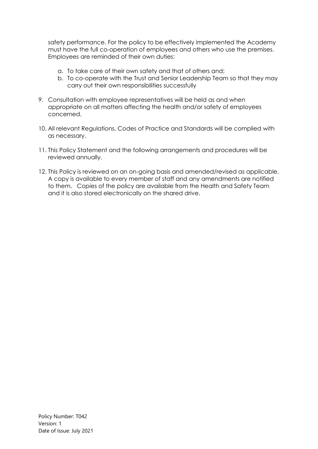safety performance. For the policy to be effectively implemented the Academy must have the full co-operation of employees and others who use the premises. Employees are reminded of their own duties:

- a. To take care of their own safety and that of others and;
- b. To co-operate with the Trust and Senior Leadership Team so that they may carry out their own responsibilities successfully
- 9. Consultation with employee representatives will be held as and when appropriate on all matters affecting the health and/or safety of employees concerned.
- 10. All relevant Regulations, Codes of Practice and Standards will be complied with as necessary.
- 11. This Policy Statement and the following arrangements and procedures will be reviewed annually.
- 12. This Policy is reviewed on an on-going basis and amended/revised as applicable. A copy is available to every member of staff and any amendments are notified to them. Copies of the policy are available from the Health and Safety Team and it is also stored electronically on the shared drive.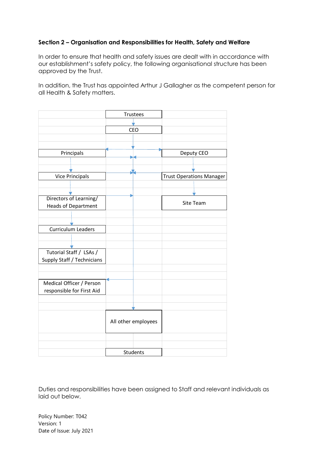## **Section 2 – Organisation and Responsibilities for Health, Safety and Welfare**

In order to ensure that health and safety issues are dealt with in accordance with our establishment's safety policy, the following organisational structure has been approved by the Trust.

In addition, the Trust has appointed Arthur J Gallagher as the competent person for all Health & Safety matters.



Duties and responsibilities have been assigned to Staff and relevant individuals as laid out below.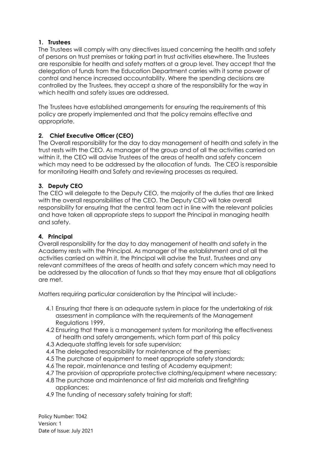## **1. Trustees**

The Trustees will comply with any directives issued concerning the health and safety of persons on trust premises or taking part in trust activities elsewhere. The Trustees are responsible for health and safety matters at a group level. They accept that the delegation of funds from the Education Department carries with it some power of control and hence increased accountability. Where the spending decisions are controlled by the Trustees, they accept a share of the responsibility for the way in which health and safety issues are addressed.

The Trustees have established arrangements for ensuring the requirements of this policy are properly implemented and that the policy remains effective and appropriate.

## **2. Chief Executive Officer (CEO)**

The Overall responsibility for the day to day management of health and safety in the trust rests with the CEO. As manager of the group and of all the activities carried on within it, the CEO will advise Trustees of the areas of health and safety concern which may need to be addressed by the allocation of funds. The CEO is responsible for monitoring Health and Safety and reviewing processes as required.

## **3. Deputy CEO**

The CEO will delegate to the Deputy CEO, the majority of the duties that are linked with the overall responsibilities of the CEO. The Deputy CEO will take overall responsibility for ensuring that the central team act in line with the relevant policies and have taken all appropriate steps to support the Principal in managing health and safety.

## **4. Principal**

Overall responsibility for the day to day management of health and safety in the Academy rests with the Principal. As manager of the establishment and of all the activities carried on within it, the Principal will advise the Trust, Trustees and any relevant committees of the areas of health and safety concern which may need to be addressed by the allocation of funds so that they may ensure that all obligations are met.

Matters requiring particular consideration by the Principal will include:-

- 4.1 Ensuring that there is an adequate system in place for the undertaking of risk assessment in compliance with the requirements of the Management Regulations 1999,
- 4.2 Ensuring that there is a management system for monitoring the effectiveness of health and safety arrangements, which form part of this policy
- 4.3 Adequate staffing levels for safe supervision;
- 4.4 The delegated responsibility for maintenance of the premises;
- 4.5 The purchase of equipment to meet appropriate safety standards;
- 4.6 The repair, maintenance and testing of Academy equipment;
- 4.7 The provision of appropriate protective clothing/equipment where necessary;
- 4.8 The purchase and maintenance of first aid materials and firefighting appliances;
- 4.9 The funding of necessary safety training for staff;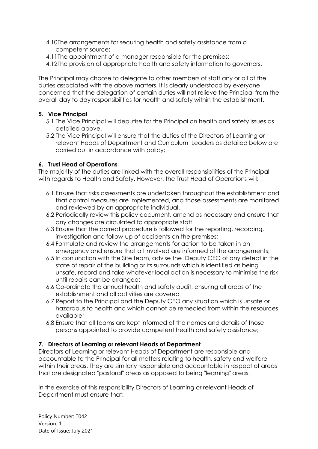- 4.10The arrangements for securing health and safety assistance from a competent source;
- 4.11The appointment of a manager responsible for the premises;
- 4.12The provision of appropriate health and safety information to governors.

The Principal may choose to delegate to other members of staff any or all of the duties associated with the above matters. It is clearly understood by everyone concerned that the delegation of certain duties will not relieve the Principal from the overall day to day responsibilities for health and safety within the establishment.

## **5. Vice Principal**

- 5.1 The Vice Principal will deputise for the Principal on health and safety issues as detailed above.
- 5.2 The Vice Principal will ensure that the duties of the Directors of Learning or relevant Heads of Department and Curriculum Leaders as detailed below are carried out in accordance with policy;

## **6. Trust Head of Operations**

The majority of the duties are linked with the overall responsibilities of the Principal with regards to Health and Safety. However, the Trust Head of Operations will:

- 6.1 Ensure that risks assessments are undertaken throughout the establishment and that control measures are implemented, and those assessments are monitored and reviewed by an appropriate individual.
- 6.2 Periodically review this policy document, amend as necessary and ensure that any changes are circulated to appropriate staff
- 6.3 Ensure that the correct procedure is followed for the reporting, recording, investigation and follow-up of accidents on the premises;
- 6.4 Formulate and review the arrangements for action to be taken in an emergency and ensure that all involved are informed of the arrangements;
- 6.5 In conjunction with the Site team, advise the Deputy CEO of any defect in the state of repair of the building or its surrounds which is identified as being unsafe, record and take whatever local action is necessary to minimise the risk until repairs can be arranged;
- 6.6 Co-ordinate the annual health and safety audit, ensuring all areas of the establishment and all activities are covered
- 6.7 Report to the Principal and the Deputy CEO any situation which is unsafe or hazardous to health and which cannot be remedied from within the resources available;
- 6.8 Ensure that all teams are kept informed of the names and details of those persons appointed to provide competent health and safety assistance;

## **7. Directors of Learning or relevant Heads of Department**

Directors of Learning or relevant Heads of Department are responsible and accountable to the Principal for all matters relating to health, safety and welfare within their areas. They are similarly responsible and accountable in respect of areas that are designated "pastoral" areas as opposed to being "learning" areas.

In the exercise of this responsibility Directors of Learning or relevant Heads of Department must ensure that: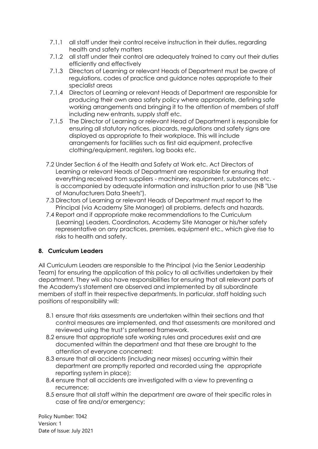- 7.1.1 all staff under their control receive instruction in their duties, regarding health and safety matters
- 7.1.2 all staff under their control are adequately trained to carry out their duties efficiently and effectively
- 7.1.3 Directors of Learning or relevant Heads of Department must be aware of regulations, codes of practice and guidance notes appropriate to their specialist areas
- 7.1.4 Directors of Learning or relevant Heads of Department are responsible for producing their own area safety policy where appropriate, defining safe working arrangements and bringing it to the attention of members of staff including new entrants, supply staff etc.
- 7.1.5 The Director of Learning or relevant Head of Department is responsible for ensuring all statutory notices, placards, regulations and safety signs are displayed as appropriate to their workplace. This will include arrangements for facilities such as first aid equipment, protective clothing/equipment, registers, log books etc.
- 7.2 Under Section 6 of the Health and Safety at Work etc. Act Directors of Learning or relevant Heads of Department are responsible for ensuring that everything received from suppliers - machinery, equipment, substances etc. is accompanied by adequate information and instruction prior to use (NB "Use of Manufacturers Data Sheets").
- 7.3 Directors of Learning or relevant Heads of Department must report to the Principal (via Academy Site Manager) all problems, defects and hazards.
- 7.4 Report and if appropriate make recommendations to the Curriculum (Learning) Leaders, Coordinators, Academy Site Manager or his/her safety representative on any practices, premises, equipment etc., which give rise to risks to health and safety.

## **8. Curriculum Leaders**

All Curriculum Leaders are responsible to the Principal (via the Senior Leadership Team) for ensuring the application of this policy to all activities undertaken by their department. They will also have responsibilities for ensuring that all relevant parts of the Academy's statement are observed and implemented by all subordinate members of staff in their respective departments. In particular, staff holding such positions of responsibility will:

- 8.1 ensure that risks assessments are undertaken within their sections and that control measures are implemented, and that assessments are monitored and reviewed using the trust's preferred framework.
- 8.2 ensure that appropriate safe working rules and procedures exist and are documented within the department and that these are brought to the attention of everyone concerned;
- 8.3 ensure that all accidents (including near misses) occurring within their department are promptly reported and recorded using the appropriate reporting system in place);
- 8.4 ensure that all accidents are investigated with a view to preventing a recurrence;
- 8.5 ensure that all staff within the department are aware of their specific roles in case of fire and/or emergency;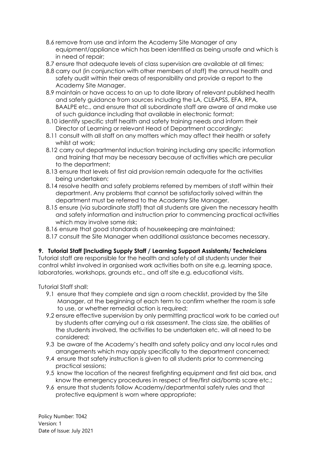- 8.6 remove from use and inform the Academy Site Manager of any equipment/appliance which has been identified as being unsafe and which is in need of repair;
- 8.7 ensure that adequate levels of class supervision are available at all times;
- 8.8 carry out (in conjunction with other members of staff) the annual health and safety audit within their areas of responsibility and provide a report to the Academy Site Manager.
- 8.9 maintain or have access to an up to date library of relevant published health and safety guidance from sources including the LA, CLEAPSS, EFA, RPA, BAALPE etc., and ensure that all subordinate staff are aware of and make use of such guidance including that available in electronic format;
- 8.10 identify specific staff health and safety training needs and inform their Director of Learning or relevant Head of Department accordingly;
- 8.11 consult with all staff on any matters which may affect their health or safety whilst at work;
- 8.12 carry out departmental induction training including any specific information and training that may be necessary because of activities which are peculiar to the department;
- 8.13 ensure that levels of first aid provision remain adequate for the activities being undertaken;
- 8.14 resolve health and safety problems referred by members of staff within their department. Any problems that cannot be satisfactorily solved within the department must be referred to the Academy Site Manager.
- 8.15 ensure (via subordinate staff) that all students are given the necessary health and safety information and instruction prior to commencing practical activities which may involve some risk;
- 8.16 ensure that good standards of housekeeping are maintained;
- 8.17 consult the Site Manager when additional assistance becomes necessary.

## **9. Tutorial Staff [Including Supply Staff / Learning Support Assistants/ Technicians**

Tutorial staff are responsible for the health and safety of all students under their control whilst involved in organised work activities both on site e.g. learning space, laboratories, workshops, grounds etc., and off site e.g. educational visits.

Tutorial Staff shall:

- 9.1 ensure that they complete and sign a room checklist, provided by the Site Manager, at the beginning of each term to confirm whether the room is safe to use, or whether remedial action is required;
- 9.2 ensure effective supervision by only permitting practical work to be carried out by students after carrying out a risk assessment. The class size, the abilities of the students involved, the activities to be undertaken etc. will all need to be considered;
- 9.3 be aware of the Academy's health and safety policy and any local rules and arrangements which may apply specifically to the department concerned;
- 9.4 ensure that safety instruction is given to all students prior to commencing practical sessions;
- 9.5 know the location of the nearest firefighting equipment and first aid box, and know the emergency procedures in respect of fire/first aid/bomb scare etc.;
- 9.6 ensure that students follow Academy/departmental safety rules and that protective equipment is worn where appropriate;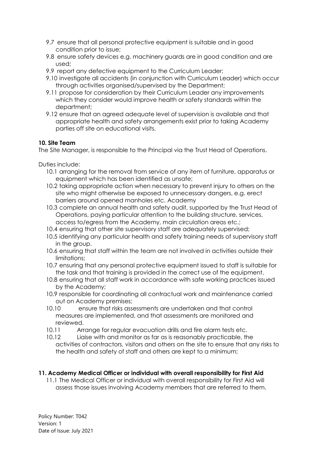- 9.7 ensure that all personal protective equipment is suitable and in good condition prior to issue;
- 9.8 ensure safety devices e.g. machinery guards are in good condition and are used;
- 9.9 report any defective equipment to the Curriculum Leader;
- 9.10 investigate all accidents (in conjunction with Curriculum Leader) which occur through activities organised/supervised by the Department;
- 9.11 propose for consideration by their Curriculum Leader any improvements which they consider would improve health or safety standards within the department;
- 9.12 ensure that an agreed adequate level of supervision is available and that appropriate health and safety arrangements exist prior to taking Academy parties off site on educational visits.

## **10. Site Team**

The Site Manager, is responsible to the Principal via the Trust Head of Operations.

Duties include:

- 10.1 arranging for the removal from service of any item of furniture, apparatus or equipment which has been identified as unsafe;
- 10.2 taking appropriate action when necessary to prevent injury to others on the site who might otherwise be exposed to unnecessary dangers, e.g. erect barriers around opened manholes etc. Academy
- 10.3 complete an annual health and safety audit, supported by the Trust Head of Operations, paying particular attention to the building structure, services, access to/egress from the Academy, main circulation areas etc.;
- 10.4 ensuring that other site supervisory staff are adequately supervised;
- 10.5 identifying any particular health and safety training needs of supervisory staff in the group.
- 10.6 ensuring that staff within the team are not involved in activities outside their limitations;
- 10.7 ensuring that any personal protective equipment issued to staff is suitable for the task and that training is provided in the correct use of the equipment.
- 10.8 ensuring that all staff work in accordance with safe working practices issued by the Academy;
- 10.9 responsible for coordinating all contractual work and maintenance carried out on Academy premises;
- 10.10 ensure that risks assessments are undertaken and that control measures are implemented, and that assessments are monitored and reviewed.
- 10.11 Arrange for regular evacuation drills and fire alarm tests etc.
- 10.12 Liaise with and monitor as far as is reasonably practicable, the activities of contractors, visitors and others on the site to ensure that any risks to the health and safety of staff and others are kept to a minimum;

## **11. Academy Medical Officer or individual with overall responsibility for First Aid**

11.1 The Medical Officer or individual with overall responsibility for First Aid will assess those issues involving Academy members that are referred to them.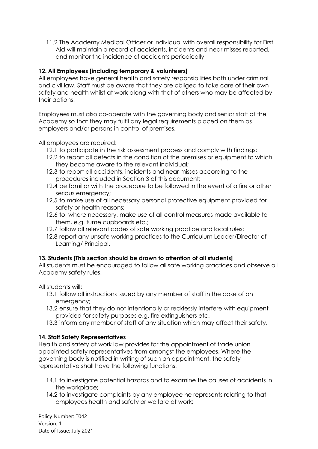11.2 The Academy Medical Officer or individual with overall responsibility for First Aid will maintain a record of accidents, incidents and near misses reported, and monitor the incidence of accidents periodically;

## **12. All Employees [including temporary & volunteers]**

All employees have general health and safety responsibilities both under criminal and civil law. Staff must be aware that they are obliged to take care of their own safety and health whilst at work along with that of others who may be affected by their actions.

Employees must also co-operate with the governing body and senior staff of the Academy so that they may fulfil any legal requirements placed on them as employers and/or persons in control of premises.

All employees are required:

- 12.1 to participate in the risk assessment process and comply with findings;
- 12.2 to report all defects in the condition of the premises or equipment to which they become aware to the relevant individual;
- 12.3 to report all accidents, incidents and near misses according to the procedures included in Section 3 of this document;
- 12.4 be familiar with the procedure to be followed in the event of a fire or other serious emergency;
- 12.5 to make use of all necessary personal protective equipment provided for safety or health reasons;
- 12.6 to, where necessary, make use of all control measures made available to them, e.g. fume cupboards etc.;
- 12.7 follow all relevant codes of safe working practice and local rules;
- 12.8 report any unsafe working practices to the Curriculum Leader/Director of Learning/ Principal.

## **13. Students [This section should be drawn to attention of all students]**

All students must be encouraged to follow all safe working practices and observe all Academy safety rules.

All students will:

- 13.1 follow all instructions issued by any member of staff in the case of an emergency;
- 13.2 ensure that they do not intentionally or recklessly interfere with equipment provided for safety purposes e.g. fire extinguishers etc.
- 13.3 inform any member of staff of any situation which may affect their safety.

## **14. Staff Safety Representatives**

Health and safety at work law provides for the appointment of trade union appointed safety representatives from amongst the employees. Where the governing body is notified in writing of such an appointment, the safety representative shall have the following functions:

- 14.1 to investigate potential hazards and to examine the causes of accidents in the workplace;
- 14.2 to investigate complaints by any employee he represents relating to that employees health and safety or welfare at work;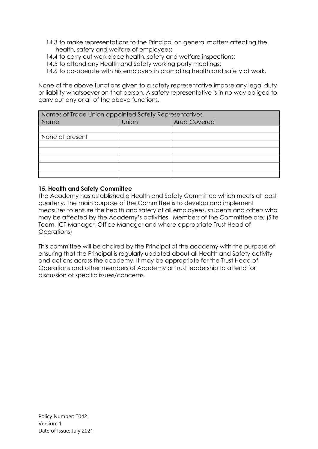- 14.3 to make representations to the Principal on general matters affecting the health, safety and welfare of employees;
- 14.4 to carry out workplace health, safety and welfare inspections;
- 14.5 to attend any Health and Safety working party meetings;
- 14.6 to co-operate with his employers in promoting health and safety at work.

None of the above functions given to a safety representative impose any legal duty or liability whatsoever on that person. A safety representative is in no way obliged to carry out any or all of the above functions.

| Names of Trade Union appointed Safety Representatives |       |                     |  |
|-------------------------------------------------------|-------|---------------------|--|
| Name                                                  | Union | <b>Area Covered</b> |  |
|                                                       |       |                     |  |
| None at present                                       |       |                     |  |
|                                                       |       |                     |  |
|                                                       |       |                     |  |
|                                                       |       |                     |  |
|                                                       |       |                     |  |
|                                                       |       |                     |  |

## **15. Health and Safety Committee**

The Academy has established a Health and Safety Committee which meets at least quarterly. The main purpose of the Committee is to develop and implement measures to ensure the health and safety of all employees, students and others who may be affected by the Academy's activities. Members of the Committee are; (Site Team, ICT Manager, Office Manager and where appropriate Trust Head of Operations)

This committee will be chaired by the Principal of the academy with the purpose of ensuring that the Principal is regularly updated about all Health and Safety activity and actions across the academy. It may be appropriate for the Trust Head of Operations and other members of Academy or Trust leadership to attend for discussion of specific issues/concerns.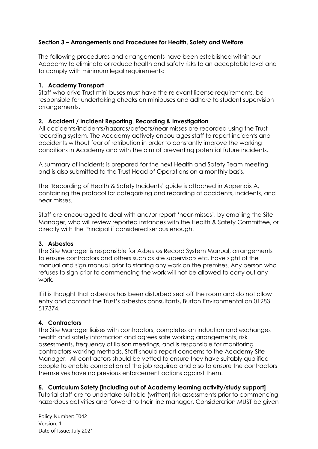## **Section 3 – Arrangements and Procedures for Health, Safety and Welfare**

The following procedures and arrangements have been established within our Academy to eliminate or reduce health and safety risks to an acceptable level and to comply with minimum legal requirements:

## **1. Academy Transport**

Staff who drive Trust mini buses must have the relevant license requirements, be responsible for undertaking checks on minibuses and adhere to student supervision arrangements.

## **2. Accident / Incident Reporting, Recording & Investigation**

All accidents/incidents/hazards/defects/near misses are recorded using the Trust recording system. The Academy actively encourages staff to report incidents and accidents without fear of retribution in order to constantly improve the working conditions in Academy and with the aim of preventing potential future incidents.

A summary of incidents is prepared for the next Health and Safety Team meeting and is also submitted to the Trust Head of Operations on a monthly basis.

The 'Recording of Health & Safety Incidents' guide is attached in Appendix A, containing the protocol for categorising and recording of accidents, incidents, and near misses.

Staff are encouraged to deal with and/or report 'near-misses', by emailing the Site Manager, who will review reported instances with the Health & Safety Committee, or directly with the Principal if considered serious enough.

## **3. Asbestos**

The Site Manager is responsible for Asbestos Record System Manual, arrangements to ensure contractors and others such as site supervisors etc. have sight of the manual and sign manual prior to starting any work on the premises. Any person who refuses to sign prior to commencing the work will not be allowed to carry out any work.

If it is thought that asbestos has been disturbed seal off the room and do not allow entry and contact the Trust's asbestos consultants, Burton Environmental on 01283 517374.

## **4. Contractors**

The Site Manager liaises with contractors, completes an induction and exchanges health and safety information and agrees safe working arrangements, risk assessments, frequency of liaison meetings, and is responsible for monitoring contractors working methods. Staff should report concerns to the Academy Site Manager. All contractors should be vetted to ensure they have suitably qualified people to enable completion of the job required and also to ensure the contractors themselves have no previous enforcement actions against them.

## **5. Curriculum Safety [including out of Academy learning activity/study support]**

Tutorial staff are to undertake suitable (written) risk assessments prior to commencing hazardous activities and forward to their line manager. Consideration MUST be given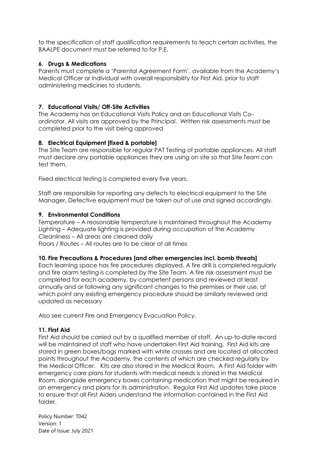to the specification of staff qualification requirements to teach certain activities, the BAALPE document must be referred to for P.E.

## **6. Drugs & Medications**

Parents must complete a 'Parental Agreement Form', available from the Academy's Medical Officer or individual with overall responsibility for First Aid, prior to staff administering medicines to students.

## **7. Educational Visits/ Off-Site Activities**

The Academy has an Educational Visits Policy and an Educational Visits Coordinator. All visits are approved by the Principal. Written risk assessments must be completed prior to the visit being approved

## **8. Electrical Equipment [fixed & portable]**

The Site Team are responsible for regular PAT Testing of portable appliances. All staff must declare any portable appliances they are using on site so that Site Team can test them.

Fixed electrical testing is completed every five years.

Staff are responsible for reporting any defects to electrical equipment to the Site Manager. Defective equipment must be taken out of use and signed accordingly.

## **9. Environmental Conditions**

Temperature – A reasonable temperature is maintained throughout the Academy Lighting – Adequate lighting is provided during occupation of the Academy Cleanliness – All areas are cleaned daily

Floors / Routes – All routes are to be clear at all times

## **10. Fire Precautions & Procedures [and other emergencies incl. bomb threats]**

Each learning space has fire procedures displayed. A fire drill is completed regularly and fire alarm testing is completed by the Site Team. A fire risk assessment must be completed for each academy, by competent persons and reviewed at least annually and or following any significant changes to the premises or their use, at which point any existing emergency procedure should be similarly reviewed and updated as necessary

Also see current Fire and Emergency Evacuation Policy.

## **11. First Aid**

First Aid should be carried out by a qualified member of staff. An up-to-date record will be maintained of staff who have undertaken First Aid training. First Aid kits are stored in green boxes/bags marked with white crosses and are located at allocated points throughout the Academy, the contents of which are checked regularly by the Medical Officer. Kits are also stored in the Medical Room. A First Aid folder with emergency care plans for students with medical needs is stored in the Medical Room, alongside emergency boxes containing medication that might be required in an emergency and plans for its administration. Regular First Aid updates take place to ensure that all First Aiders understand the information contained in the First Aid folder.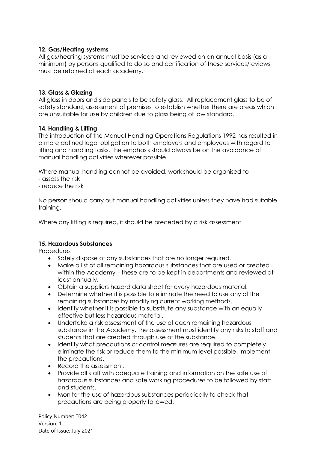## **12. Gas/Heating systems**

All gas/heating systems must be serviced and reviewed on an annual basis (as a minimum) by persons qualified to do so and certification of these services/reviews must be retained at each academy.

## **13. Glass & Glazing**

All glass in doors and side panels to be safety glass. All replacement glass to be of safety standard, assessment of premises to establish whether there are areas which are unsuitable for use by children due to glass being of low standard.

## **14. Handling & Lifting**

The introduction of the Manual Handling Operations Regulations 1992 has resulted in a more defined legal obligation to both employers and employees with regard to lifting and handling tasks. The emphasis should always be on the avoidance of manual handling activities wherever possible.

Where manual handling cannot be avoided, work should be organised to -

- assess the risk
- reduce the risk

No person should carry out manual handling activities unless they have had suitable training.

Where any lifting is required, it should be preceded by a risk assessment.

## **15. Hazardous Substances**

**Procedures** 

- Safely dispose of any substances that are no longer required.
- Make a list of all remaining hazardous substances that are used or created within the Academy – these are to be kept in departments and reviewed at least annually.
- Obtain a suppliers hazard data sheet for every hazardous material.
- Determine whether it is possible to eliminate the need to use any of the remaining substances by modifying current working methods.
- Identify whether it is possible to substitute any substance with an equally effective but less hazardous material.
- Undertake a risk assessment of the use of each remaining hazardous substance in the Academy. The assessment must identify any risks to staff and students that are created through use of the substance.
- Identify what precautions or control measures are required to completely eliminate the risk or reduce them to the minimum level possible. Implement the precautions.
- Record the assessment.
- Provide all staff with adequate training and information on the safe use of hazardous substances and safe working procedures to be followed by staff and students.
- Monitor the use of hazardous substances periodically to check that precautions are being properly followed.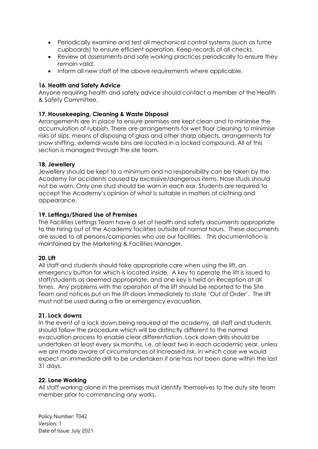- Periodically examine and test all mechanical control systems (such as fume cupboards) to ensure efficient operation. Keep records of all checks.
- Review all assessments and safe working practices periodically to ensure they remain valid.
- Inform all new staff of the above requirements where applicable.

### **16. Health and Safety Advice**

Anyone requiring health and safety advice should contact a member of the Health & Safety Committee.

## **17. Housekeeping, Cleaning & Waste Disposal**

Arrangements are in place to ensure premises are kept clean and to minimise the accumulation of rubbish. There are arrangements for wet floor cleaning to minimise risks of slips, means of disposing of glass and other sharp objects, arrangements for snow shifting, external waste bins are located in a locked compound. All of this section is managed through the site team.

#### **18. Jewellery**

Jewellery should be kept to a minimum and no responsibility can be taken by the Academy for accidents caused by excessive/dangerous items. Nose studs should not be worn. Only one stud should be worn in each ear. Students are required to accept the Academy's opinion of what is suitable in matters of clothing and appearance.

#### **19. Lettings/Shared Use of Premises**

The Facilities Lettings Team have a set of health and safety documents appropriate to the hiring out of the Academy facilities outside of normal hours. These documents are issued to all persons/companies who use our facilities. This documentation is maintained by the Marketing & Facilities Manager.

#### **20. Lift**

All staff and students should take appropriate care when using the lift, an emergency button for which is located inside. A key to operate the lift is issued to staff/students as deemed appropriate, and one key is held on Reception at all times. Any problems with the operation of the lift should be reported to the Site Team and notices put on the lift doors immediately to state 'Out of Order'. The lift must not be used during a fire or emergency evacuation.

#### **21. Lock downs**

In the event of a lock down being required at the academy, all staff and students should follow the procedure which will be distinctly different to the normal evacuation process to enable clear differentiation. Lock down drills should be undertaken at least every six months, i.e. at least two in each academic year, unless we are made aware of circumstances of increased risk, in which case we would expect an immediate drill to be undertaken if one has not been done within the last 31 days.

#### **22. Lone Working**

All staff working alone in the premises must identify themselves to the duty site team member prior to commencing any works.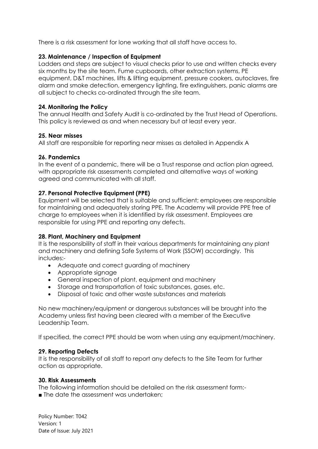There is a risk assessment for lone working that all staff have access to.

## **23. Maintenance / Inspection of Equipment**

Ladders and steps are subject to visual checks prior to use and written checks every six months by the site team. Fume cupboards, other extraction systems, PE equipment, D&T machines, lifts & lifting equipment, pressure cookers, autoclaves, fire alarm and smoke detection, emergency lighting, fire extinguishers, panic alarms are all subject to checks co-ordinated through the site team.

## **24. Monitoring the Policy**

The annual Health and Safety Audit is co-ordinated by the Trust Head of Operations. This policy is reviewed as and when necessary but at least every year.

## **25. Near misses**

All staff are responsible for reporting near misses as detailed in Appendix A

## **26. Pandemics**

In the event of a pandemic, there will be a Trust response and action plan agreed, with appropriate risk assessments completed and alternative ways of working agreed and communicated with all staff.

## **27. Personal Protective Equipment (PPE)**

Equipment will be selected that is suitable and sufficient; employees are responsible for maintaining and adequately storing PPE. The Academy will provide PPE free of charge to employees when it is identified by risk assessment. Employees are responsible for using PPE and reporting any defects.

## **28. Plant, Machinery and Equipment**

It is the responsibility of staff in their various departments for maintaining any plant and machinery and defining Safe Systems of Work (SSOW) accordingly. This includes:-

- Adequate and correct guarding of machinery
- Appropriate signage
- General inspection of plant, equipment and machinery
- Storage and transportation of toxic substances, gases, etc.
- Disposal of toxic and other waste substances and materials

No new machinery/equipment or dangerous substances will be brought into the Academy unless first having been cleared with a member of the Executive Leadership Team.

If specified, the correct PPE should be worn when using any equipment/machinery.

## **29. Reporting Defects**

It is the responsibility of all staff to report any defects to the Site Team for further action as appropriate.

## **30. Risk Assessments**

The following information should be detailed on the risk assessment form:-

■ The date the assessment was undertaken;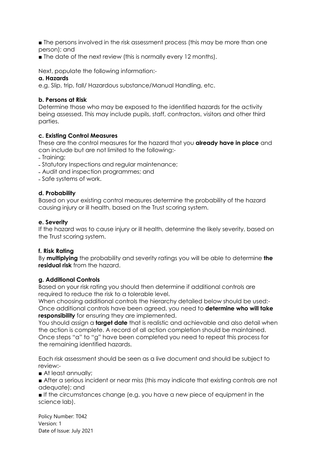■ The persons involved in the risk assessment process (this may be more than one person); and

■ The date of the next review (this is normally every 12 months).

Next, populate the following information:-

### **a. Hazards**

e.g. Slip, trip, fall/ Hazardous substance/Manual Handling, etc.

#### **b. Persons at Risk**

Determine those who may be exposed to the identified hazards for the activity being assessed. This may include pupils, staff, contractors, visitors and other third parties.

#### **c. Existing Control Measures**

These are the control measures for the hazard that you **already have in place** and can include but are not limited to the following:-

˗ Training;

- ˗ Statutory Inspections and regular maintenance;
- ˗ Audit and inspection programmes; and
- ˗ Safe systems of work.

#### **d. Probability**

Based on your existing control measures determine the probability of the hazard causing injury or ill health, based on the Trust scoring system.

#### **e. Severity**

If the hazard was to cause injury or ill health, determine the likely severity, based on the Trust scoring system.

#### **f. Risk Rating**

By **multiplying** the probability and severity ratings you will be able to determine **the residual risk** from the hazard.

#### **g. Additional Controls**

Based on your risk rating you should then determine if additional controls are required to reduce the risk to a tolerable level.

When choosing additional controls the hierarchy detailed below should be used:- Once additional controls have been agreed, you need to **determine who will take responsibility** for ensuring they are implemented.

You should assign a **target date** that is realistic and achievable and also detail when the action is complete. A record of all action completion should be maintained. Once steps "a" to "g" have been completed you need to repeat this process for the remaining identified hazards.

Each risk assessment should be seen as a live document and should be subject to review:-

■ At least annually;

■ After a serious incident or near miss (this may indicate that existing controls are not adequate); and

■ If the circumstances change (e.g. you have a new piece of equipment in the science lab).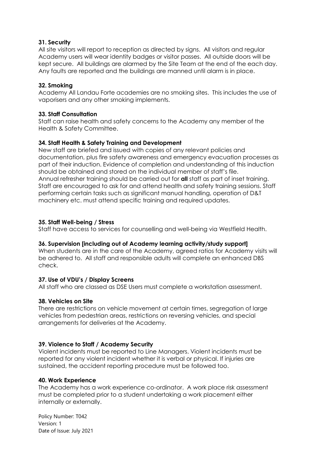#### **31. Security**

All site visitors will report to reception as directed by signs. All visitors and regular Academy users will wear identity badges or visitor passes. All outside doors will be kept secure. All buildings are alarmed by the Site Team at the end of the each day. Any faults are reported and the buildings are manned until alarm is in place.

### **32. Smoking**

Academy All Landau Forte academies are no smoking sites. This includes the use of vaporisers and any other smoking implements.

#### **33. Staff Consultation**

Staff can raise health and safety concerns to the Academy any member of the Health & Safety Committee.

#### **34. Staff Health & Safety Training and Development**

New staff are briefed and issued with copies of any relevant policies and documentation, plus fire safety awareness and emergency evacuation processes as part of their induction. Evidence of completion and understanding of this induction should be obtained and stored on the individual member of staff's file. Annual refresher training should be carried out for **all** staff as part of inset training. Staff are encouraged to ask for and attend health and safety training sessions. Staff performing certain tasks such as significant manual handling, operation of D&T machinery etc. must attend specific training and required updates.

#### **35. Staff Well-being / Stress**

Staff have access to services for counselling and well-being via Westfield Health.

#### **36. Supervision [including out of Academy learning activity/study support]**

When students are in the care of the Academy, agreed ratios for Academy visits will be adhered to. All staff and responsible adults will complete an enhanced DBS check.

#### **37. Use of VDU's / Display Screens**

All staff who are classed as DSE Users must complete a workstation assessment.

#### **38. Vehicles on Site**

There are restrictions on vehicle movement at certain times, segregation of large vehicles from pedestrian areas, restrictions on reversing vehicles, and special arrangements for deliveries at the Academy.

#### **39. Violence to Staff / Academy Security**

Violent incidents must be reported to Line Managers. Violent incidents must be reported for any violent incident whether it is verbal or physical. If injuries are sustained, the accident reporting procedure must be followed too.

#### **40. Work Experience**

The Academy has a work experience co-ordinator. A work place risk assessment must be completed prior to a student undertaking a work placement either internally or externally.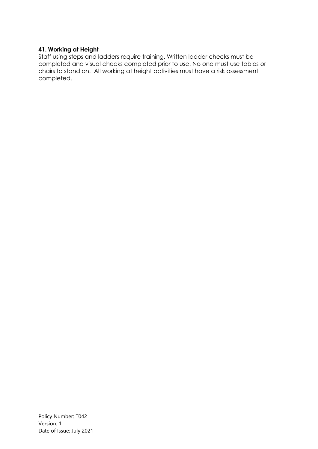## **41. Working at Height**

Staff using steps and ladders require training. Written ladder checks must be completed and visual checks completed prior to use. No one must use tables or chairs to stand on. All working at height activities must have a risk assessment completed.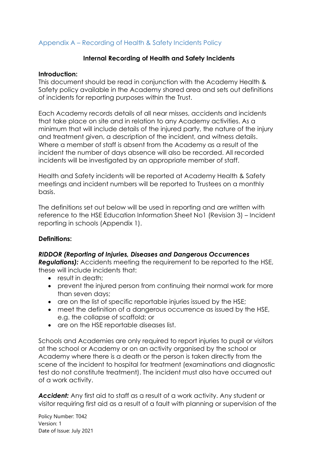## Appendix A – Recording of Health & Safety Incidents Policy

## **Internal Recording of Health and Safety Incidents**

## **Introduction:**

This document should be read in conjunction with the Academy Health & Safety policy available in the Academy shared area and sets out definitions of incidents for reporting purposes within the Trust.

Each Academy records details of all near misses, accidents and incidents that take place on site and in relation to any Academy activities. As a minimum that will include details of the injured party, the nature of the injury and treatment given, a description of the incident, and witness details. Where a member of staff is absent from the Academy as a result of the incident the number of days absence will also be recorded. All recorded incidents will be investigated by an appropriate member of staff.

Health and Safety incidents will be reported at Academy Health & Safety meetings and incident numbers will be reported to Trustees on a monthly basis.

The definitions set out below will be used in reporting and are written with reference to the HSE Education Information Sheet No1 (Revision 3) – Incident reporting in schools (Appendix 1).

## **Definitions:**

## *RIDDOR (Reporting of Injuries, Diseases and Dangerous Occurrences*

*Regulations):* Accidents meeting the requirement to be reported to the HSE, these will include incidents that:

- result in death:
- prevent the injured person from continuing their normal work for more than seven days;
- are on the list of specific reportable injuries issued by the HSE;
- meet the definition of a dangerous occurrence as issued by the HSE, e.g. the collapse of scaffold; or
- are on the HSE reportable diseases list.

Schools and Academies are only required to report injuries to pupil or visitors at the school or Academy or on an activity organised by the school or Academy where there is a death or the person is taken directly from the scene of the incident to hospital for treatment (examinations and diagnostic test do not constitute treatment). The incident must also have occurred out of a work activity.

*Accident:* Any first aid to staff as a result of a work activity. Any student or visitor requiring first aid as a result of a fault with planning or supervision of the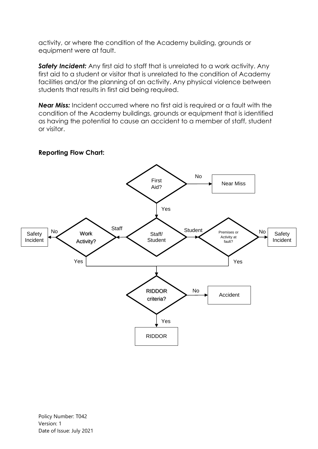activity, or where the condition of the Academy building, grounds or equipment were at fault.

**Safety Incident:** Any first aid to staff that is unrelated to a work activity. Any first aid to a student or visitor that is unrelated to the condition of Academy facilities and/or the planning of an activity. Any physical violence between students that results in first aid being required.

*Near Miss:* Incident occurred where no first aid is required or a fault with the condition of the Academy buildings, grounds or equipment that is identified as having the potential to cause an accident to a member of staff, student or visitor.



**Reporting Flow Chart:**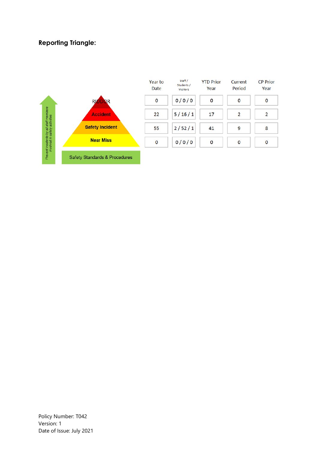## **Reporting Triangle:**